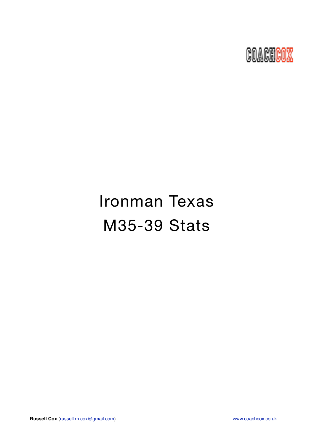

# Ironman Texas M35-39 Stats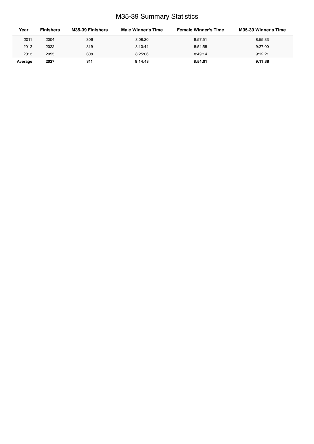## M35-39 Summary Statistics

| Year    | <b>Finishers</b> | M35-39 Finishers | Male Winner's Time | <b>Female Winner's Time</b> | <b>M35-39 Winner's Time</b> |
|---------|------------------|------------------|--------------------|-----------------------------|-----------------------------|
| 2011    | 2004             | 306              | 8:08:20            | 8:57:51                     | 8:55:33                     |
| 2012    | 2022             | 319              | 8:10:44            | 8:54:58                     | 9:27:00                     |
| 2013    | 2055             | 308              | 8:25:06            | 8:49:14                     | 9:12:21                     |
| Average | 2027             | 311              | 8:14:43            | 8:54:01                     | 9:11:38                     |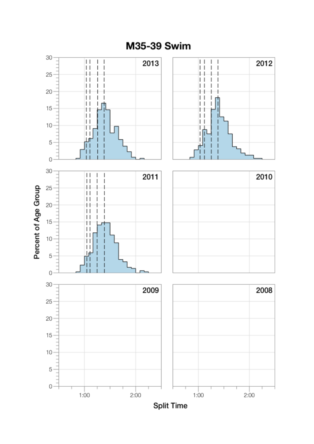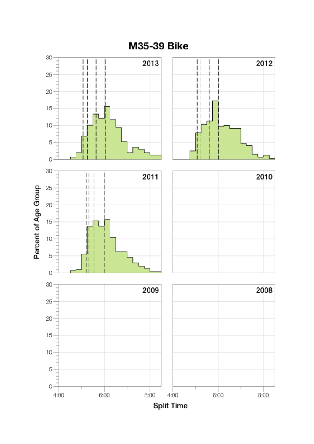

M35-39 Bike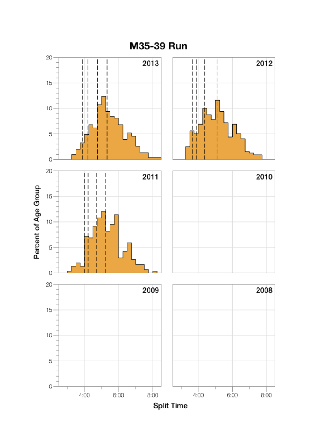

M35-39 Run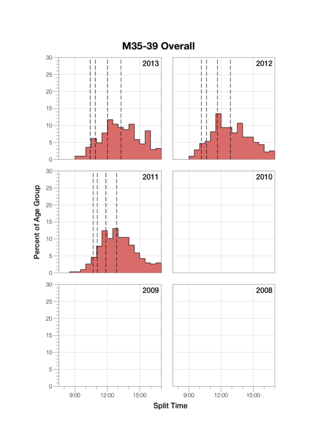

## M35-39 Overall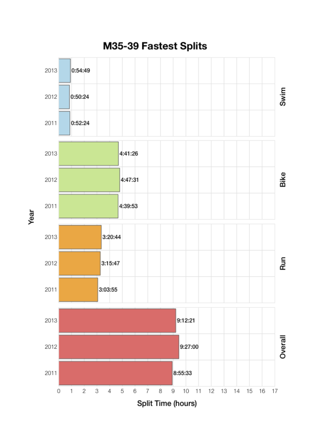

Year

M35-39 Fastest Splits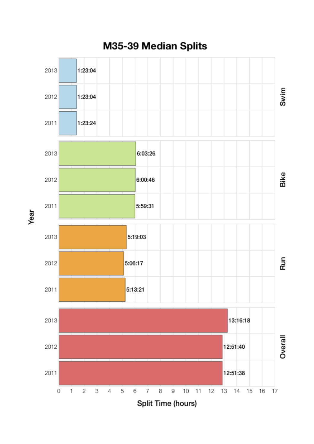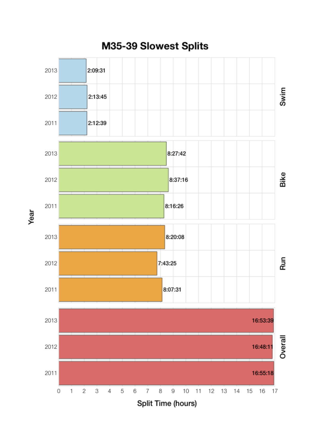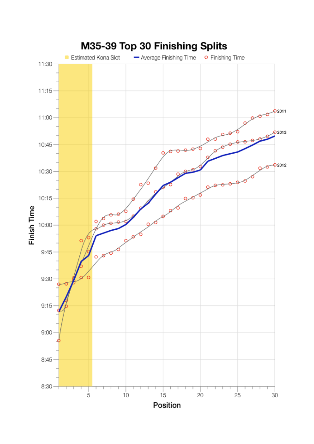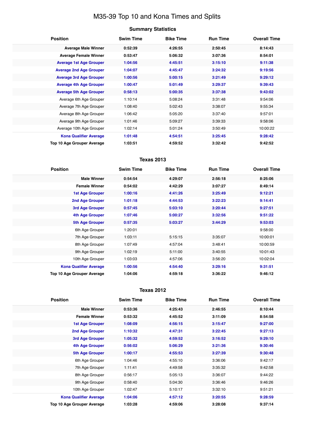## M35-39 Top 10 and Kona Times and Splits

| <b>Summary Statistics</b> |  |
|---------------------------|--|
|---------------------------|--|

| <b>Position</b>                   | <b>Swim Time</b> | <b>Bike Time</b> | <b>Run Time</b> | <b>Overall Time</b> |
|-----------------------------------|------------------|------------------|-----------------|---------------------|
| <b>Average Male Winner</b>        | 0:52:39          | 4:26:55          | 2:50:45         | 8:14:43             |
| <b>Average Female Winner</b>      | 0:53:47          | 5:06:32          | 3:07:36         | 8:54:01             |
| <b>Average 1st Age Grouper</b>    | 1:04:56          | 4:45:51          | 3:15:10         | 9:11:38             |
| <b>Average 2nd Age Grouper</b>    | 1:04:07          | 4:45:47          | 3:24:32         | 9:19:56             |
| <b>Average 3rd Age Grouper</b>    | 1:00:56          | 5:00:15          | 3:21:49         | 9:29:12             |
| <b>Average 4th Age Grouper</b>    | 1:00:47          | 5:01:49          | 3:29:37         | 9:39:43             |
| <b>Average 5th Age Grouper</b>    | 0:58:13          | 5:00:35          | 3:37:38         | 9:43:02             |
| Average 6th Age Grouper           | 1:10:14          | 5:08:24          | 3:31:48         | 9:54:06             |
| Average 7th Age Grouper           | 1:08:40          | 5:02:43          | 3:38:07         | 9:55:34             |
| Average 8th Age Grouper           | 1:06:42          | 5:05:20          | 3:37:40         | 9:57:01             |
| Average 9th Age Grouper           | 1:01:46          | 5:09:27          | 3:39:33         | 9:58:06             |
| Average 10th Age Grouper          | 1:02:14          | 5:01:24          | 3:50:49         | 10:00:22            |
| <b>Kona Qualifier Average</b>     | 1:01:48          | 4:54:51          | 3:25:45         | 9:28:42             |
| <b>Top 10 Age Grouper Average</b> | 1:03:51          | 4:59:52          | 3:32:42         | 9:42:52             |

### **Texas 2013**

| <b>Position</b>               | <b>Swim Time</b> | <b>Bike Time</b> | <b>Run Time</b> | <b>Overall Time</b> |
|-------------------------------|------------------|------------------|-----------------|---------------------|
| <b>Male Winner</b>            | 0:54:54          | 4:29:07          | 2:56:18         | 8:25:06             |
| <b>Female Winner</b>          | 0:54:02          | 4:42:29          | 3:07:27         | 8:49:14             |
| <b>1st Age Grouper</b>        | 1:00:16          | 4:41:26          | 3:25:49         | 9:12:21             |
| 2nd Age Grouper               | 1:01:18          | 4:44:53          | 3:22:23         | 9:14:41             |
| 3rd Age Grouper               | 0:57:45          | 5:03:10          | 3:20:44         | 9:27:51             |
| <b>4th Age Grouper</b>        | 1:07:46          | 5:00:27          | 3:32:56         | 9:51:22             |
| <b>5th Age Grouper</b>        | 0:57:35          | 5:03:27          | 3:44:29         | 9:53:03             |
| 6th Age Grouper               | 1:20:01          |                  |                 | 9:58:00             |
| 7th Age Grouper               | 1:03:11          | 5:15:15          | 3:35:07         | 10:00:01            |
| 8th Age Grouper               | 1:07:49          | 4:57:04          | 3:48:41         | 10:00:59            |
| 9th Age Grouper               | 1:02:19          | 5:11:00          | 3:40:55         | 10:01:43            |
| 10th Age Grouper              | 1:03:03          | 4:57:06          | 3:56:20         | 10:02:04            |
| <b>Kona Qualifier Average</b> | 1:00:56          | 4:54:40          | 3:29:16         | 9:31:51             |
| Top 10 Age Grouper Average    | 1:04:06          | 4:59:18          | 3:36:22         | 9:46:12             |

#### **Texas 2012**

| <b>Position</b>                   | <b>Swim Time</b> | <b>Bike Time</b> | <b>Run Time</b> | <b>Overall Time</b> |
|-----------------------------------|------------------|------------------|-----------------|---------------------|
| <b>Male Winner</b>                | 0:53:36          | 4:25:43          | 2:46:55         | 8:10:44             |
| <b>Female Winner</b>              | 0:53:32          | 4:45:52          | 3:11:09         | 8:54:58             |
| <b>1st Age Grouper</b>            | 1:08:09          | 4:56:15          | 3:15:47         | 9:27:00             |
| <b>2nd Age Grouper</b>            | 1:10:32          | 4:47:31          | 3:22:45         | 9:27:13             |
| 3rd Age Grouper                   | 1:05:32          | 4:59:52          | 3:16:52         | 9:29:10             |
| <b>4th Age Grouper</b>            | 0:56:02          | 5:06:29          | 3:21:36         | 9:30:46             |
| <b>5th Age Grouper</b>            | 1:00:17          | 4:55:53          | 3:27:39         | 9:30:48             |
| 6th Age Grouper                   | 1:04:46          | 4:55:10          | 3:36:06         | 9:42:17             |
| 7th Age Grouper                   | 1:11:41          | 4:49:58          | 3:35:32         | 9:42:58             |
| 8th Age Grouper                   | 0:56:17          | 5:05:13          | 3:36:07         | 9:44:22             |
| 9th Age Grouper                   | 0:58:40          | 5:04:30          | 3:36:46         | 9:46:26             |
| 10th Age Grouper                  | 1:02:47          | 5:10:17          | 3:32:10         | 9:51:21             |
| <b>Kona Qualifier Average</b>     | 1:04:06          | 4:57:12          | 3:20:55         | 9:28:59             |
| <b>Top 10 Age Grouper Average</b> | 1:03:28          | 4:59:06          | 3:28:08         | 9:37:14             |